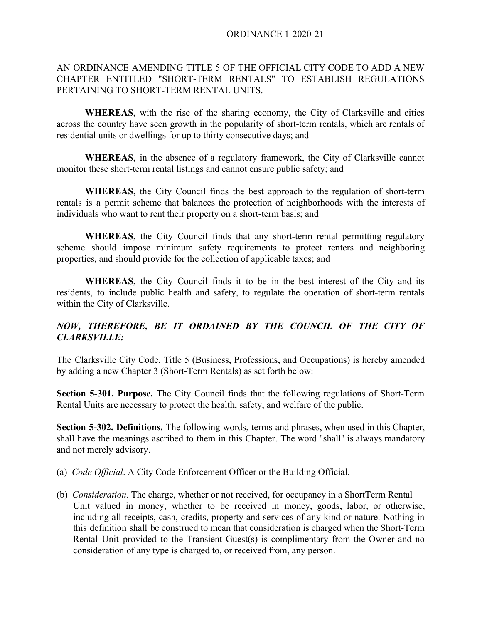# AN ORDINANCE AMENDING TITLE 5 OF THE OFFICIAL CITY CODE TO ADD A NEW CHAPTER ENTITLED "SHORT-TERM RENTALS" TO ESTABLISH REGULATIONS PERTAINING TO SHORT-TERM RENTAL UNITS.

**WHEREAS**, with the rise of the sharing economy, the City of Clarksville and cities across the country have seen growth in the popularity of short-term rentals, which are rentals of residential units or dwellings for up to thirty consecutive days; and

**WHEREAS**, in the absence of a regulatory framework, the City of Clarksville cannot monitor these short-term rental listings and cannot ensure public safety; and

**WHEREAS**, the City Council finds the best approach to the regulation of short-term rentals is a permit scheme that balances the protection of neighborhoods with the interests of individuals who want to rent their property on a short-term basis; and

**WHEREAS**, the City Council finds that any short-term rental permitting regulatory scheme should impose minimum safety requirements to protect renters and neighboring properties, and should provide for the collection of applicable taxes; and

**WHEREAS**, the City Council finds it to be in the best interest of the City and its residents, to include public health and safety, to regulate the operation of short-term rentals within the City of Clarksville.

# *NOW, THEREFORE, BE IT ORDAINED BY THE COUNCIL OF THE CITY OF CLARKSVILLE:*

The Clarksville City Code, Title 5 (Business, Professions, and Occupations) is hereby amended by adding a new Chapter 3 (Short-Term Rentals) as set forth below:

**Section 5-301. Purpose.** The City Council finds that the following regulations of Short-Term Rental Units are necessary to protect the health, safety, and welfare of the public.

**Section 5-302. Definitions.** The following words, terms and phrases, when used in this Chapter, shall have the meanings ascribed to them in this Chapter. The word "shall" is always mandatory and not merely advisory.

- (a) *Code Official*. A City Code Enforcement Officer or the Building Official.
- (b) *Consideration*. The charge, whether or not received, for occupancy in a ShortTerm Rental Unit valued in money, whether to be received in money, goods, labor, or otherwise, including all receipts, cash, credits, property and services of any kind or nature. Nothing in this definition shall be construed to mean that consideration is charged when the Short-Term Rental Unit provided to the Transient Guest(s) is complimentary from the Owner and no consideration of any type is charged to, or received from, any person.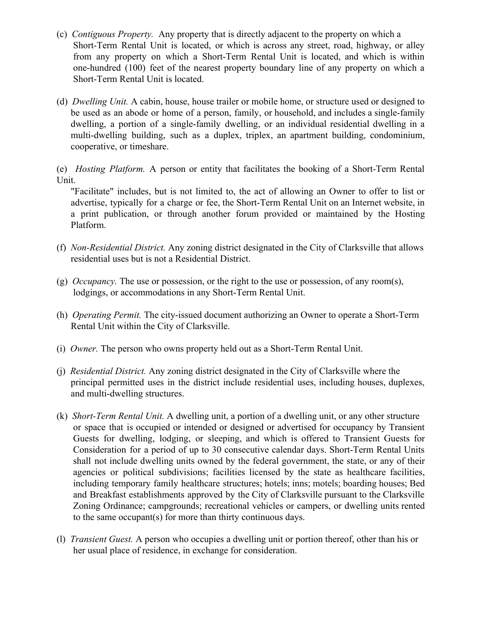- (c) *Contiguous Property.* Any property that is directly adjacent to the property on which a Short-Term Rental Unit is located, or which is across any street, road, highway, or alley from any property on which a Short-Term Rental Unit is located, and which is within one-hundred (100) feet of the nearest property boundary line of any property on which a Short-Term Rental Unit is located.
- (d) *Dwelling Unit.* A cabin, house, house trailer or mobile home, or structure used or designed to be used as an abode or home of a person, family, or household, and includes a single-family dwelling, a portion of a single-family dwelling, or an individual residential dwelling in a multi-dwelling building, such as a duplex, triplex, an apartment building, condominium, cooperative, or timeshare.
- (e) *Hosting Platform.* A person or entity that facilitates the booking of a Short-Term Rental Unit.

"Facilitate" includes, but is not limited to, the act of allowing an Owner to offer to list or advertise, typically for a charge or fee, the Short-Term Rental Unit on an Internet website, in a print publication, or through another forum provided or maintained by the Hosting Platform.

- (f) *Non-Residential District.* Any zoning district designated in the City of Clarksville that allows residential uses but is not a Residential District.
- (g) *Occupancy.* The use or possession, or the right to the use or possession, of any room(s), lodgings, or accommodations in any Short-Term Rental Unit.
- (h) *Operating Permit.* The city-issued document authorizing an Owner to operate a Short-Term Rental Unit within the City of Clarksville.
- (i) *Owner.* The person who owns property held out as a Short-Term Rental Unit.
- (j) *Residential District.* Any zoning district designated in the City of Clarksville where the principal permitted uses in the district include residential uses, including houses, duplexes, and multi-dwelling structures.
- (k) *Short-Term Rental Unit.* A dwelling unit, a portion of a dwelling unit, or any other structure or space that is occupied or intended or designed or advertised for occupancy by Transient Guests for dwelling, lodging, or sleeping, and which is offered to Transient Guests for Consideration for a period of up to 30 consecutive calendar days. Short-Term Rental Units shall not include dwelling units owned by the federal government, the state, or any of their agencies or political subdivisions; facilities licensed by the state as healthcare facilities, including temporary family healthcare structures; hotels; inns; motels; boarding houses; Bed and Breakfast establishments approved by the City of Clarksville pursuant to the Clarksville Zoning Ordinance; campgrounds; recreational vehicles or campers, or dwelling units rented to the same occupant(s) for more than thirty continuous days.
- (l) *Transient Guest.* A person who occupies a dwelling unit or portion thereof, other than his or her usual place of residence, in exchange for consideration.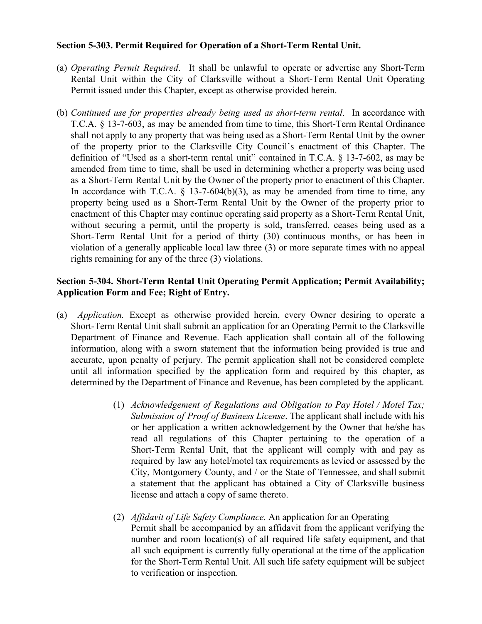## **Section 5-303. Permit Required for Operation of a Short-Term Rental Unit.**

- (a) *Operating Permit Required*. It shall be unlawful to operate or advertise any Short-Term Rental Unit within the City of Clarksville without a Short-Term Rental Unit Operating Permit issued under this Chapter, except as otherwise provided herein.
- (b) *Continued use for properties already being used as short-term rental*. In accordance with T.C.A. § 13-7-603, as may be amended from time to time, this Short-Term Rental Ordinance shall not apply to any property that was being used as a Short-Term Rental Unit by the owner of the property prior to the Clarksville City Council's enactment of this Chapter. The definition of "Used as a short-term rental unit" contained in T.C.A. § 13-7-602, as may be amended from time to time, shall be used in determining whether a property was being used as a Short-Term Rental Unit by the Owner of the property prior to enactment of this Chapter. In accordance with T.C.A.  $\S$  13-7-604(b)(3), as may be amended from time to time, any property being used as a Short-Term Rental Unit by the Owner of the property prior to enactment of this Chapter may continue operating said property as a Short-Term Rental Unit, without securing a permit, until the property is sold, transferred, ceases being used as a Short-Term Rental Unit for a period of thirty (30) continuous months, or has been in violation of a generally applicable local law three (3) or more separate times with no appeal rights remaining for any of the three (3) violations.

# **Section 5-304. Short-Term Rental Unit Operating Permit Application; Permit Availability; Application Form and Fee; Right of Entry.**

- (a) *Application.* Except as otherwise provided herein, every Owner desiring to operate a Short-Term Rental Unit shall submit an application for an Operating Permit to the Clarksville Department of Finance and Revenue. Each application shall contain all of the following information, along with a sworn statement that the information being provided is true and accurate, upon penalty of perjury. The permit application shall not be considered complete until all information specified by the application form and required by this chapter, as determined by the Department of Finance and Revenue, has been completed by the applicant.
	- (1) *Acknowledgement of Regulations and Obligation to Pay Hotel / Motel Tax; Submission of Proof of Business License*. The applicant shall include with his or her application a written acknowledgement by the Owner that he/she has read all regulations of this Chapter pertaining to the operation of a Short-Term Rental Unit, that the applicant will comply with and pay as required by law any hotel/motel tax requirements as levied or assessed by the City, Montgomery County, and / or the State of Tennessee, and shall submit a statement that the applicant has obtained a City of Clarksville business license and attach a copy of same thereto.
	- (2) *Affidavit of Life Safety Compliance.* An application for an Operating Permit shall be accompanied by an affidavit from the applicant verifying the number and room location(s) of all required life safety equipment, and that all such equipment is currently fully operational at the time of the application for the Short-Term Rental Unit. All such life safety equipment will be subject to verification or inspection.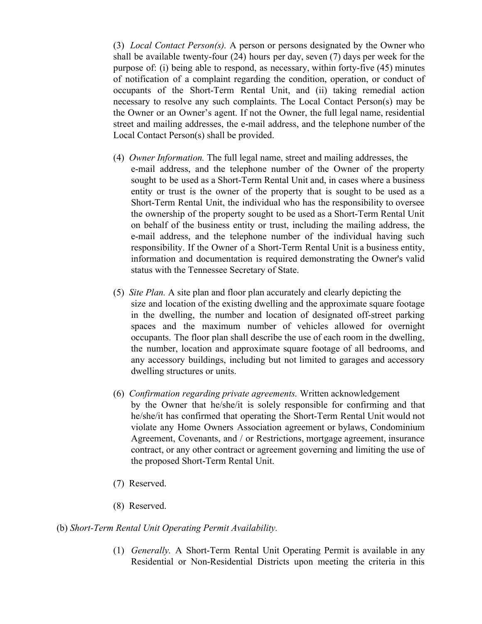(3) *Local Contact Person(s).* A person or persons designated by the Owner who shall be available twenty-four (24) hours per day, seven (7) days per week for the purpose of: (i) being able to respond, as necessary, within forty-five (45) minutes of notification of a complaint regarding the condition, operation, or conduct of occupants of the Short-Term Rental Unit, and (ii) taking remedial action necessary to resolve any such complaints. The Local Contact Person(s) may be the Owner or an Owner's agent. If not the Owner, the full legal name, residential street and mailing addresses, the e-mail address, and the telephone number of the Local Contact Person(s) shall be provided.

- (4) *Owner Information.* The full legal name, street and mailing addresses, the e-mail address, and the telephone number of the Owner of the property sought to be used as a Short-Term Rental Unit and, in cases where a business entity or trust is the owner of the property that is sought to be used as a Short-Term Rental Unit, the individual who has the responsibility to oversee the ownership of the property sought to be used as a Short-Term Rental Unit on behalf of the business entity or trust, including the mailing address, the e-mail address, and the telephone number of the individual having such responsibility. If the Owner of a Short-Term Rental Unit is a business entity, information and documentation is required demonstrating the Owner's valid status with the Tennessee Secretary of State.
- (5) *Site Plan.* A site plan and floor plan accurately and clearly depicting the size and location of the existing dwelling and the approximate square footage in the dwelling, the number and location of designated off-street parking spaces and the maximum number of vehicles allowed for overnight occupants. The floor plan shall describe the use of each room in the dwelling, the number, location and approximate square footage of all bedrooms, and any accessory buildings, including but not limited to garages and accessory dwelling structures or units.
- (6) *Confirmation regarding private agreements.* Written acknowledgement by the Owner that he/she/it is solely responsible for confirming and that he/she/it has confirmed that operating the Short-Term Rental Unit would not violate any Home Owners Association agreement or bylaws, Condominium Agreement, Covenants, and / or Restrictions, mortgage agreement, insurance contract, or any other contract or agreement governing and limiting the use of the proposed Short-Term Rental Unit.
- (7) Reserved.
- (8) Reserved.

## (b) *Short-Term Rental Unit Operating Permit Availability.*

(1) *Generally.* A Short-Term Rental Unit Operating Permit is available in any Residential or Non-Residential Districts upon meeting the criteria in this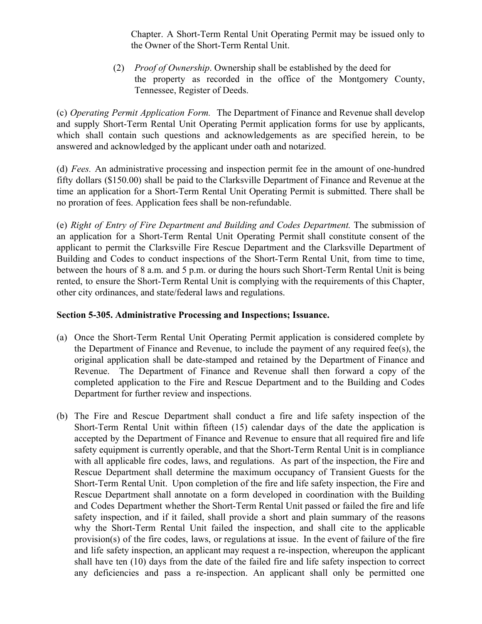Chapter. A Short-Term Rental Unit Operating Permit may be issued only to the Owner of the Short-Term Rental Unit.

(2) *Proof of Ownership*. Ownership shall be established by the deed for the property as recorded in the office of the Montgomery County, Tennessee, Register of Deeds.

(c) *Operating Permit Application Form.* The Department of Finance and Revenue shall develop and supply Short-Term Rental Unit Operating Permit application forms for use by applicants, which shall contain such questions and acknowledgements as are specified herein, to be answered and acknowledged by the applicant under oath and notarized.

(d) *Fees.* An administrative processing and inspection permit fee in the amount of one-hundred fifty dollars (\$150.00) shall be paid to the Clarksville Department of Finance and Revenue at the time an application for a Short-Term Rental Unit Operating Permit is submitted. There shall be no proration of fees. Application fees shall be non-refundable.

(e) *Right of Entry of Fire Department and Building and Codes Department.* The submission of an application for a Short-Term Rental Unit Operating Permit shall constitute consent of the applicant to permit the Clarksville Fire Rescue Department and the Clarksville Department of Building and Codes to conduct inspections of the Short-Term Rental Unit, from time to time, between the hours of 8 a.m. and 5 p.m. or during the hours such Short-Term Rental Unit is being rented, to ensure the Short-Term Rental Unit is complying with the requirements of this Chapter, other city ordinances, and state/federal laws and regulations.

# **Section 5-305. Administrative Processing and Inspections; Issuance.**

- (a) Once the Short-Term Rental Unit Operating Permit application is considered complete by the Department of Finance and Revenue, to include the payment of any required fee(s), the original application shall be date-stamped and retained by the Department of Finance and Revenue. The Department of Finance and Revenue shall then forward a copy of the completed application to the Fire and Rescue Department and to the Building and Codes Department for further review and inspections.
- (b) The Fire and Rescue Department shall conduct a fire and life safety inspection of the Short-Term Rental Unit within fifteen (15) calendar days of the date the application is accepted by the Department of Finance and Revenue to ensure that all required fire and life safety equipment is currently operable, and that the Short-Term Rental Unit is in compliance with all applicable fire codes, laws, and regulations. As part of the inspection, the Fire and Rescue Department shall determine the maximum occupancy of Transient Guests for the Short-Term Rental Unit. Upon completion of the fire and life safety inspection, the Fire and Rescue Department shall annotate on a form developed in coordination with the Building and Codes Department whether the Short-Term Rental Unit passed or failed the fire and life safety inspection, and if it failed, shall provide a short and plain summary of the reasons why the Short-Term Rental Unit failed the inspection, and shall cite to the applicable provision(s) of the fire codes, laws, or regulations at issue. In the event of failure of the fire and life safety inspection, an applicant may request a re-inspection, whereupon the applicant shall have ten (10) days from the date of the failed fire and life safety inspection to correct any deficiencies and pass a re-inspection. An applicant shall only be permitted one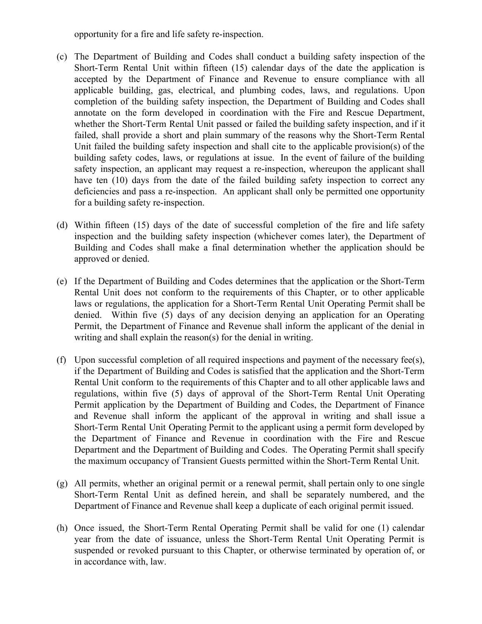opportunity for a fire and life safety re-inspection.

- (c) The Department of Building and Codes shall conduct a building safety inspection of the Short-Term Rental Unit within fifteen (15) calendar days of the date the application is accepted by the Department of Finance and Revenue to ensure compliance with all applicable building, gas, electrical, and plumbing codes, laws, and regulations. Upon completion of the building safety inspection, the Department of Building and Codes shall annotate on the form developed in coordination with the Fire and Rescue Department, whether the Short-Term Rental Unit passed or failed the building safety inspection, and if it failed, shall provide a short and plain summary of the reasons why the Short-Term Rental Unit failed the building safety inspection and shall cite to the applicable provision(s) of the building safety codes, laws, or regulations at issue. In the event of failure of the building safety inspection, an applicant may request a re-inspection, whereupon the applicant shall have ten (10) days from the date of the failed building safety inspection to correct any deficiencies and pass a re-inspection. An applicant shall only be permitted one opportunity for a building safety re-inspection.
- (d) Within fifteen (15) days of the date of successful completion of the fire and life safety inspection and the building safety inspection (whichever comes later), the Department of Building and Codes shall make a final determination whether the application should be approved or denied.
- (e) If the Department of Building and Codes determines that the application or the Short-Term Rental Unit does not conform to the requirements of this Chapter, or to other applicable laws or regulations, the application for a Short-Term Rental Unit Operating Permit shall be denied. Within five (5) days of any decision denying an application for an Operating Permit, the Department of Finance and Revenue shall inform the applicant of the denial in writing and shall explain the reason(s) for the denial in writing.
- (f) Upon successful completion of all required inspections and payment of the necessary fee(s), if the Department of Building and Codes is satisfied that the application and the Short-Term Rental Unit conform to the requirements of this Chapter and to all other applicable laws and regulations, within five (5) days of approval of the Short-Term Rental Unit Operating Permit application by the Department of Building and Codes, the Department of Finance and Revenue shall inform the applicant of the approval in writing and shall issue a Short-Term Rental Unit Operating Permit to the applicant using a permit form developed by the Department of Finance and Revenue in coordination with the Fire and Rescue Department and the Department of Building and Codes. The Operating Permit shall specify the maximum occupancy of Transient Guests permitted within the Short-Term Rental Unit.
- (g) All permits, whether an original permit or a renewal permit, shall pertain only to one single Short-Term Rental Unit as defined herein, and shall be separately numbered, and the Department of Finance and Revenue shall keep a duplicate of each original permit issued.
- (h) Once issued, the Short-Term Rental Operating Permit shall be valid for one (1) calendar year from the date of issuance, unless the Short-Term Rental Unit Operating Permit is suspended or revoked pursuant to this Chapter, or otherwise terminated by operation of, or in accordance with, law.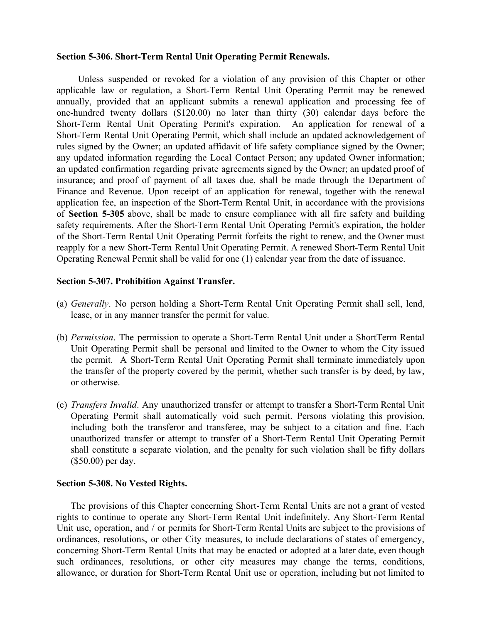#### **Section 5-306. Short-Term Rental Unit Operating Permit Renewals.**

Unless suspended or revoked for a violation of any provision of this Chapter or other applicable law or regulation, a Short-Term Rental Unit Operating Permit may be renewed annually, provided that an applicant submits a renewal application and processing fee of one-hundred twenty dollars (\$120.00) no later than thirty (30) calendar days before the Short-Term Rental Unit Operating Permit's expiration. An application for renewal of a Short-Term Rental Unit Operating Permit, which shall include an updated acknowledgement of rules signed by the Owner; an updated affidavit of life safety compliance signed by the Owner; any updated information regarding the Local Contact Person; any updated Owner information; an updated confirmation regarding private agreements signed by the Owner; an updated proof of insurance; and proof of payment of all taxes due, shall be made through the Department of Finance and Revenue. Upon receipt of an application for renewal, together with the renewal application fee, an inspection of the Short-Term Rental Unit, in accordance with the provisions of **Section 5-305** above, shall be made to ensure compliance with all fire safety and building safety requirements. After the Short-Term Rental Unit Operating Permit's expiration, the holder of the Short-Term Rental Unit Operating Permit forfeits the right to renew, and the Owner must reapply for a new Short-Term Rental Unit Operating Permit. A renewed Short-Term Rental Unit Operating Renewal Permit shall be valid for one (1) calendar year from the date of issuance.

#### **Section 5-307. Prohibition Against Transfer.**

- (a) *Generally*. No person holding a Short-Term Rental Unit Operating Permit shall sell, lend, lease, or in any manner transfer the permit for value.
- (b) *Permission*. The permission to operate a Short-Term Rental Unit under a ShortTerm Rental Unit Operating Permit shall be personal and limited to the Owner to whom the City issued the permit. A Short-Term Rental Unit Operating Permit shall terminate immediately upon the transfer of the property covered by the permit, whether such transfer is by deed, by law, or otherwise.
- (c) *Transfers Invalid*. Any unauthorized transfer or attempt to transfer a Short-Term Rental Unit Operating Permit shall automatically void such permit. Persons violating this provision, including both the transferor and transferee, may be subject to a citation and fine. Each unauthorized transfer or attempt to transfer of a Short-Term Rental Unit Operating Permit shall constitute a separate violation, and the penalty for such violation shall be fifty dollars (\$50.00) per day.

#### **Section 5-308. No Vested Rights.**

The provisions of this Chapter concerning Short-Term Rental Units are not a grant of vested rights to continue to operate any Short-Term Rental Unit indefinitely. Any Short-Term Rental Unit use, operation, and / or permits for Short-Term Rental Units are subject to the provisions of ordinances, resolutions, or other City measures, to include declarations of states of emergency, concerning Short-Term Rental Units that may be enacted or adopted at a later date, even though such ordinances, resolutions, or other city measures may change the terms, conditions, allowance, or duration for Short-Term Rental Unit use or operation, including but not limited to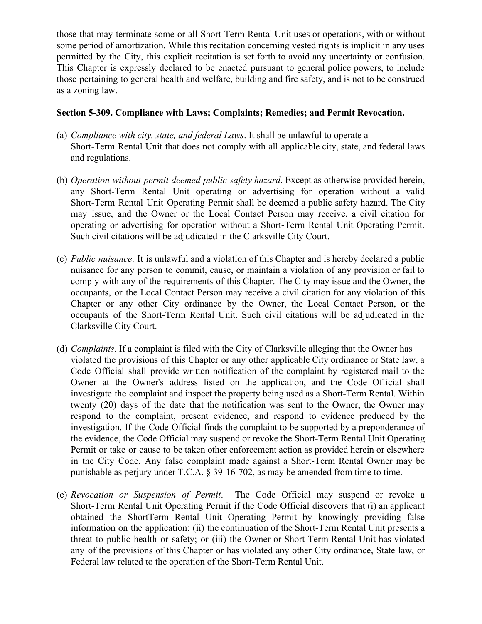those that may terminate some or all Short-Term Rental Unit uses or operations, with or without some period of amortization. While this recitation concerning vested rights is implicit in any uses permitted by the City, this explicit recitation is set forth to avoid any uncertainty or confusion. This Chapter is expressly declared to be enacted pursuant to general police powers, to include those pertaining to general health and welfare, building and fire safety, and is not to be construed as a zoning law.

# **Section 5-309. Compliance with Laws; Complaints; Remedies; and Permit Revocation.**

- (a) *Compliance with city, state, and federal Laws*. It shall be unlawful to operate a Short-Term Rental Unit that does not comply with all applicable city, state, and federal laws and regulations.
- (b) *Operation without permit deemed public safety hazard*. Except as otherwise provided herein, any Short-Term Rental Unit operating or advertising for operation without a valid Short-Term Rental Unit Operating Permit shall be deemed a public safety hazard. The City may issue, and the Owner or the Local Contact Person may receive, a civil citation for operating or advertising for operation without a Short-Term Rental Unit Operating Permit. Such civil citations will be adjudicated in the Clarksville City Court.
- (c) *Public nuisance*. It is unlawful and a violation of this Chapter and is hereby declared a public nuisance for any person to commit, cause, or maintain a violation of any provision or fail to comply with any of the requirements of this Chapter. The City may issue and the Owner, the occupants, or the Local Contact Person may receive a civil citation for any violation of this Chapter or any other City ordinance by the Owner, the Local Contact Person, or the occupants of the Short-Term Rental Unit. Such civil citations will be adjudicated in the Clarksville City Court.
- (d) *Complaints*. If a complaint is filed with the City of Clarksville alleging that the Owner has violated the provisions of this Chapter or any other applicable City ordinance or State law, a Code Official shall provide written notification of the complaint by registered mail to the Owner at the Owner's address listed on the application, and the Code Official shall investigate the complaint and inspect the property being used as a Short-Term Rental. Within twenty (20) days of the date that the notification was sent to the Owner, the Owner may respond to the complaint, present evidence, and respond to evidence produced by the investigation. If the Code Official finds the complaint to be supported by a preponderance of the evidence, the Code Official may suspend or revoke the Short-Term Rental Unit Operating Permit or take or cause to be taken other enforcement action as provided herein or elsewhere in the City Code. Any false complaint made against a Short-Term Rental Owner may be punishable as perjury under T.C.A. § 39-16-702, as may be amended from time to time.
- (e) *Revocation or Suspension of Permit*. The Code Official may suspend or revoke a Short-Term Rental Unit Operating Permit if the Code Official discovers that (i) an applicant obtained the ShortTerm Rental Unit Operating Permit by knowingly providing false information on the application; (ii) the continuation of the Short-Term Rental Unit presents a threat to public health or safety; or (iii) the Owner or Short-Term Rental Unit has violated any of the provisions of this Chapter or has violated any other City ordinance, State law, or Federal law related to the operation of the Short-Term Rental Unit.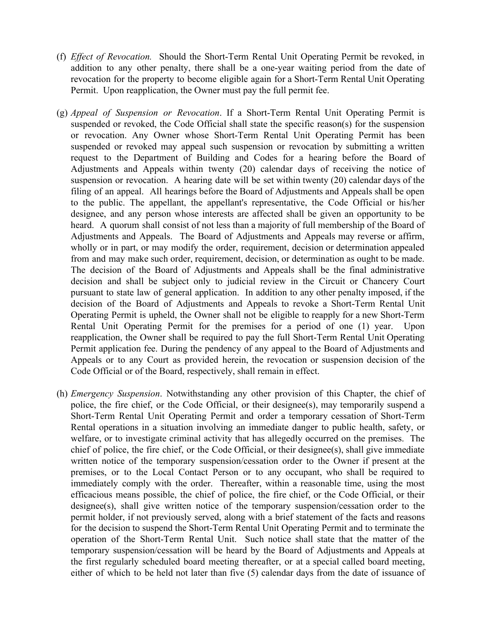- (f) *Effect of Revocation.* Should the Short-Term Rental Unit Operating Permit be revoked, in addition to any other penalty, there shall be a one-year waiting period from the date of revocation for the property to become eligible again for a Short-Term Rental Unit Operating Permit. Upon reapplication, the Owner must pay the full permit fee.
- (g) *Appeal of Suspension or Revocation*. If a Short-Term Rental Unit Operating Permit is suspended or revoked, the Code Official shall state the specific reason(s) for the suspension or revocation. Any Owner whose Short-Term Rental Unit Operating Permit has been suspended or revoked may appeal such suspension or revocation by submitting a written request to the Department of Building and Codes for a hearing before the Board of Adjustments and Appeals within twenty (20) calendar days of receiving the notice of suspension or revocation. A hearing date will be set within twenty (20) calendar days of the filing of an appeal. All hearings before the Board of Adjustments and Appeals shall be open to the public. The appellant, the appellant's representative, the Code Official or his/her designee, and any person whose interests are affected shall be given an opportunity to be heard. A quorum shall consist of not less than a majority of full membership of the Board of Adjustments and Appeals. The Board of Adjustments and Appeals may reverse or affirm, wholly or in part, or may modify the order, requirement, decision or determination appealed from and may make such order, requirement, decision, or determination as ought to be made. The decision of the Board of Adjustments and Appeals shall be the final administrative decision and shall be subject only to judicial review in the Circuit or Chancery Court pursuant to state law of general application. In addition to any other penalty imposed, if the decision of the Board of Adjustments and Appeals to revoke a Short-Term Rental Unit Operating Permit is upheld, the Owner shall not be eligible to reapply for a new Short-Term Rental Unit Operating Permit for the premises for a period of one (1) year. Upon reapplication, the Owner shall be required to pay the full Short-Term Rental Unit Operating Permit application fee. During the pendency of any appeal to the Board of Adjustments and Appeals or to any Court as provided herein, the revocation or suspension decision of the Code Official or of the Board, respectively, shall remain in effect.
- (h) *Emergency Suspension*. Notwithstanding any other provision of this Chapter, the chief of police, the fire chief, or the Code Official, or their designee(s), may temporarily suspend a Short-Term Rental Unit Operating Permit and order a temporary cessation of Short-Term Rental operations in a situation involving an immediate danger to public health, safety, or welfare, or to investigate criminal activity that has allegedly occurred on the premises. The chief of police, the fire chief, or the Code Official, or their designee(s), shall give immediate written notice of the temporary suspension/cessation order to the Owner if present at the premises, or to the Local Contact Person or to any occupant, who shall be required to immediately comply with the order. Thereafter, within a reasonable time, using the most efficacious means possible, the chief of police, the fire chief, or the Code Official, or their designee(s), shall give written notice of the temporary suspension/cessation order to the permit holder, if not previously served, along with a brief statement of the facts and reasons for the decision to suspend the Short-Term Rental Unit Operating Permit and to terminate the operation of the Short-Term Rental Unit. Such notice shall state that the matter of the temporary suspension/cessation will be heard by the Board of Adjustments and Appeals at the first regularly scheduled board meeting thereafter, or at a special called board meeting, either of which to be held not later than five (5) calendar days from the date of issuance of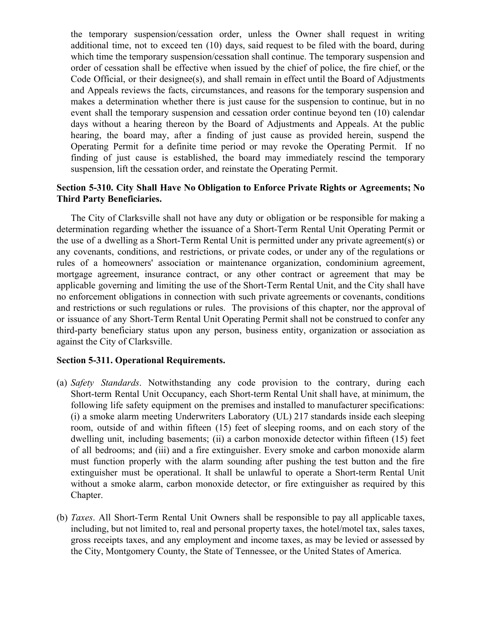the temporary suspension/cessation order, unless the Owner shall request in writing additional time, not to exceed ten (10) days, said request to be filed with the board, during which time the temporary suspension/cessation shall continue. The temporary suspension and order of cessation shall be effective when issued by the chief of police, the fire chief, or the Code Official, or their designee(s), and shall remain in effect until the Board of Adjustments and Appeals reviews the facts, circumstances, and reasons for the temporary suspension and makes a determination whether there is just cause for the suspension to continue, but in no event shall the temporary suspension and cessation order continue beyond ten (10) calendar days without a hearing thereon by the Board of Adjustments and Appeals. At the public hearing, the board may, after a finding of just cause as provided herein, suspend the Operating Permit for a definite time period or may revoke the Operating Permit. If no finding of just cause is established, the board may immediately rescind the temporary suspension, lift the cessation order, and reinstate the Operating Permit.

# **Section 5-310. City Shall Have No Obligation to Enforce Private Rights or Agreements; No Third Party Beneficiaries.**

The City of Clarksville shall not have any duty or obligation or be responsible for making a determination regarding whether the issuance of a Short-Term Rental Unit Operating Permit or the use of a dwelling as a Short-Term Rental Unit is permitted under any private agreement(s) or any covenants, conditions, and restrictions, or private codes, or under any of the regulations or rules of a homeowners' association or maintenance organization, condominium agreement, mortgage agreement, insurance contract, or any other contract or agreement that may be applicable governing and limiting the use of the Short-Term Rental Unit, and the City shall have no enforcement obligations in connection with such private agreements or covenants, conditions and restrictions or such regulations or rules. The provisions of this chapter, nor the approval of or issuance of any Short-Term Rental Unit Operating Permit shall not be construed to confer any third-party beneficiary status upon any person, business entity, organization or association as against the City of Clarksville.

## **Section 5-311. Operational Requirements.**

- (a) *Safety Standards*. Notwithstanding any code provision to the contrary, during each Short-term Rental Unit Occupancy, each Short-term Rental Unit shall have, at minimum, the following life safety equipment on the premises and installed to manufacturer specifications: (i) a smoke alarm meeting Underwriters Laboratory (UL) 217 standards inside each sleeping room, outside of and within fifteen (15) feet of sleeping rooms, and on each story of the dwelling unit, including basements; (ii) a carbon monoxide detector within fifteen (15) feet of all bedrooms; and (iii) and a fire extinguisher. Every smoke and carbon monoxide alarm must function properly with the alarm sounding after pushing the test button and the fire extinguisher must be operational. It shall be unlawful to operate a Short-term Rental Unit without a smoke alarm, carbon monoxide detector, or fire extinguisher as required by this Chapter.
- (b) *Taxes*. All Short-Term Rental Unit Owners shall be responsible to pay all applicable taxes, including, but not limited to, real and personal property taxes, the hotel/motel tax, sales taxes, gross receipts taxes, and any employment and income taxes, as may be levied or assessed by the City, Montgomery County, the State of Tennessee, or the United States of America.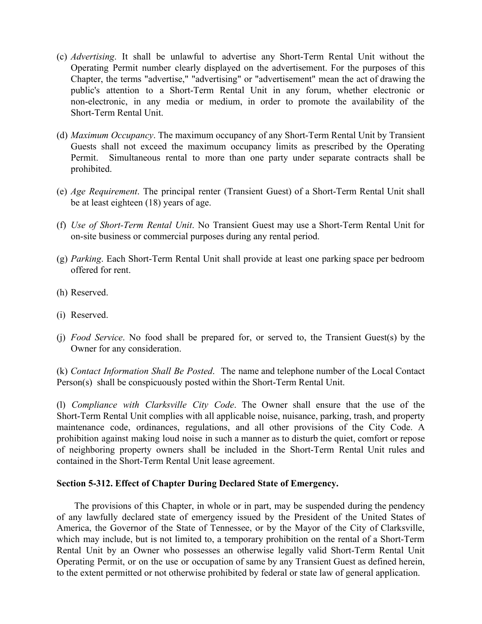- (c) *Advertising*. It shall be unlawful to advertise any Short-Term Rental Unit without the Operating Permit number clearly displayed on the advertisement. For the purposes of this Chapter, the terms "advertise," "advertising" or "advertisement" mean the act of drawing the public's attention to a Short-Term Rental Unit in any forum, whether electronic or non-electronic, in any media or medium, in order to promote the availability of the Short-Term Rental Unit.
- (d) *Maximum Occupancy*. The maximum occupancy of any Short-Term Rental Unit by Transient Guests shall not exceed the maximum occupancy limits as prescribed by the Operating Permit. Simultaneous rental to more than one party under separate contracts shall be prohibited.
- (e) *Age Requirement*. The principal renter (Transient Guest) of a Short-Term Rental Unit shall be at least eighteen (18) years of age.
- (f) *Use of Short-Term Rental Unit*. No Transient Guest may use a Short-Term Rental Unit for on-site business or commercial purposes during any rental period.
- (g) *Parking*. Each Short-Term Rental Unit shall provide at least one parking space per bedroom offered for rent.
- (h) Reserved.
- (i) Reserved.
- (j) *Food Service*. No food shall be prepared for, or served to, the Transient Guest(s) by the Owner for any consideration.

(k) *Contact Information Shall Be Posted*. The name and telephone number of the Local Contact Person(s) shall be conspicuously posted within the Short-Term Rental Unit.

(l) *Compliance with Clarksville City Code*. The Owner shall ensure that the use of the Short-Term Rental Unit complies with all applicable noise, nuisance, parking, trash, and property maintenance code, ordinances, regulations, and all other provisions of the City Code. A prohibition against making loud noise in such a manner as to disturb the quiet, comfort or repose of neighboring property owners shall be included in the Short-Term Rental Unit rules and contained in the Short-Term Rental Unit lease agreement.

## **Section 5-312. Effect of Chapter During Declared State of Emergency.**

The provisions of this Chapter, in whole or in part, may be suspended during the pendency of any lawfully declared state of emergency issued by the President of the United States of America, the Governor of the State of Tennessee, or by the Mayor of the City of Clarksville, which may include, but is not limited to, a temporary prohibition on the rental of a Short-Term Rental Unit by an Owner who possesses an otherwise legally valid Short-Term Rental Unit Operating Permit, or on the use or occupation of same by any Transient Guest as defined herein, to the extent permitted or not otherwise prohibited by federal or state law of general application.